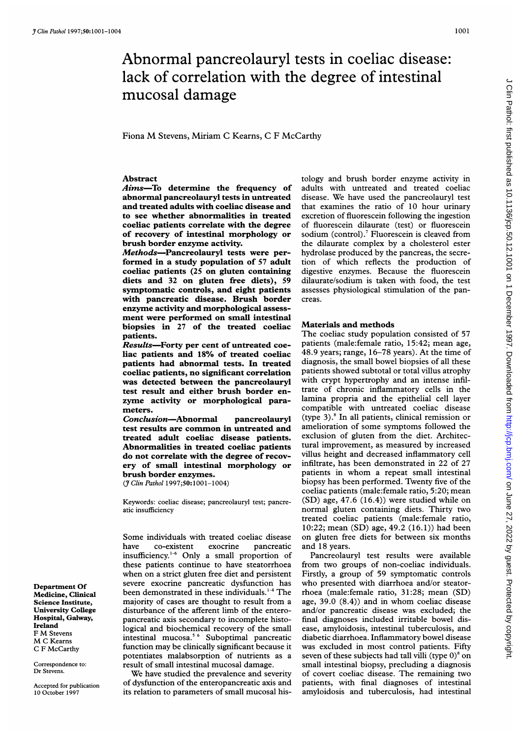## 1001

# Abnormal pancreolauryl tests in coeliac disease: lack of correlation with the degree of intestinal mucosal damage

Fiona M Stevens, Miriam <sup>C</sup> Kearns, <sup>C</sup> <sup>F</sup> McCarthy

# Abstract

Aims-To determine the frequency of abnormal pancreolauryl tests in untreated and treated adults with coeliac disease and to see whether abnormalities in treated coeliac patients correlate with the degree of recovery of intestinal morphology or brush border enzyme activity.

Methods-Pancreolauryl tests were performed in a study population of 57 adult coeliac patients (25 on gluten containing diets and 32 on gluten free diets), 59 symptomatic controls, and eight patients with pancreatic disease. Brush border enzyme activity and morphological assessment were performed on small intestinal biopsies in 27 of the treated coeliac patients.

Results-Forty per cent of untreated coeliac patients and 18% of treated coeliac patients had abnormal tests. In treated coeliac patients, no significant correlation was detected between the pancreolauryl test result and either brush border enzyme activity or morphological parameters.

Conclusion-Abnormal pancreolauryl test results are common in untreated and treated adult coeliac disease patients. Abnormalities in treated coeliac patients do not correlate with the degree of recovery of small intestinal morphology or brush border enzymes.

(*J Clin Pathol* 1997;50:1001-1004)

Keywords: coeliac disease; pancreolauryl test; pancreatic insufficiency

Some individuals with treated coeliac disease have co-existent exocrine pancreatic insufficiency."<sup>6</sup> Only a small proportion of these patients continue to have steatorrhoea when on a strict gluten free diet and persistent severe exocrine pancreatic dysfunction has been demonstrated in these individuals.<sup>1-4</sup> The majority of cases are thought to result from a disturbance of the afferent limb of the enteropancreatic axis secondary to incomplete histological and biochemical recovery of the small intestinal mucosa.5 <sup>6</sup> Suboptimal pancreatic function may be clinically significant because it potentiates malabsorption of nutrients as a result of small intestinal mucosal damage.

We have studied the prevalence and severity of dysfunction of the enteropancreatic axis and its relation to parameters of small mucosal histology and brush border enzyme activity in adults with untreated and treated coeliac disease. We have used the pancreolauryl test that examines the ratio of 10 hour urinary excretion of fluorescein following the ingestion of fluorescein dilaurate (test) or fluorescein sodium (control).<sup>7</sup> Fluorescein is cleaved from the dilaurate complex by a cholesterol ester hydrolase produced by the pancreas, the secretion of which reflects the production of digestive enzymes. Because the fluorescein dilaurate/sodium is taken with food, the test assesses physiological stimulation of the pancreas.

### Materials and methods

The coeliac study population consisted of 57 patients (male:female ratio, 15:42; mean age, 48.9 years; range, 16-78 years). At the time of diagnosis, the small bowel biopsies of all these patients showed subtotal or total villus atrophy with crypt hypertrophy and an intense infiltrate of chronic inflammatory cells in the lamina propria and the epithelial cell layer compatible with untreated coeliac disease (type  $3$ ).<sup>8</sup> In all patients, clinical remission or amelioration of some symptoms followed the exclusion of gluten from the diet. Architectural improvement, as measured by increased villus height and decreased inflammatory cell infiltrate, has been demonstrated in 22 of 27 patients in whom <sup>a</sup> repeat small intestinal biopsy has been performed. Twenty five of the coeliac patients (male:female ratio, 5:20; mean (SD) age, 47.6 (16.4)) were studied while on normal gluten containing diets. Thirty two treated coeliac patients (male:female ratio, 10:22; mean (SD) age, 49.2 (16.1)) had been on gluten free diets for between six months and 18 years.

Pancreolauryl test results were available from two groups of non-coeliac individuals. Firstly, a group of 59 symptomatic controls who presented with diarrhoea and/or steatorrhoea (male:female ratio, 31:28; mean (SD) age, 39.0 (8.4)) and in whom coeliac disease and/or pancreatic disease was excluded; the final diagnoses included irritable bowel disease, amyloidosis, intestinal tuberculosis, and diabetic diarrhoea. Inflammatory bowel disease was excluded in most control patients. Fifty seven of these subjects had tall villi (type  $0$ )<sup>8</sup> on small intestinal biopsy, precluding a diagnosis of covert coeliac disease. The remaining two patients, with final diagnoses of intestinal amyloidosis and tuberculosis, had intestinal

Department Of Medicine, Clinical Science Institute, University College Hospital, Galway, Ireland <sup>F</sup> M Stevens M <sup>C</sup> Kearns C F McCarthy

Correspondence to: Dr Stevens.

Accepted for publication 10 October 1997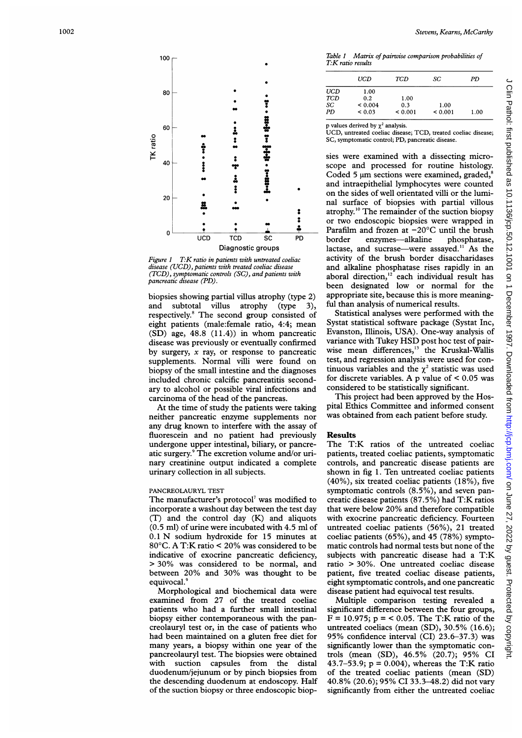Table 1 Matrix of pairwise comparison probabilities of T.K ratio results

|          | 80 |                  |                         | ï               |                |
|----------|----|------------------|-------------------------|-----------------|----------------|
|          | 60 |                  | i<br>:                  |                 |                |
| TK ratio | 40 |                  |                         |                 |                |
|          | 20 | ä                | $\ddot{•}$              |                 |                |
|          | 0  | $\overline{UCD}$ | $\overline{\text{TCD}}$ | $\overline{sc}$ | $\overline{P}$ |
|          |    |                  | Diagnostic groups       |                 |                |

100 $\Gamma$ 

Figure 1 T: K ratio in patients with untreated coeliac disease (UCD), patients with treated coeliac disease (TCD), symptomatic controls (SC), and patients with pancreatic disease (PD).

biopsies showing partial villus atrophy (type 2) and subtotal villus atrophy (type 3), respectively.8 The second group consisted of eight patients (male:female ratio, 4:4; mean (SD) age, 48.8 (11.4)) in whom pancreatic disease was previously or eventually confirmed by surgery, x ray, or response to pancreatic supplements. Normal villi were found on biopsy of the small intestine and the diagnoses included chronic calcific pancreatitis secondary to alcohol or possible viral infections and carcinoma of the head of the pancreas.

At the time of study the patients were taking neither pancreatic enzyme supplements nor any drug known to interfere with the assay of fluorescein and no patient had previously undergone upper intestinal, biliary, or pancreatic surgery.9 The excretion volume and/or urinary creatinine output indicated a complete urinary collection in all subjects.

#### PANCREOLAURYL TEST

The manufacturer's protocol<sup>7</sup> was modified to incorporate a washout day between the test day (T) and the control day (K) and aliquots (0.5 ml) of urine were incubated with 4.5 ml of 0.1 N sodium hydroxide for <sup>15</sup> minutes at 80°C. A T:K ratio < 20% was considered to be indicative of exocrine pancreatic deficiency, > 30% was considered to be normal, and between 20% and 30% was thought to be equivocal.<sup>9</sup>

Morphological and biochemical data were examined from 27 of the treated coeliac patients who had a further small intestinal biopsy either contemporaneous with the pancreolauryl test or, in the case of patients who had been maintained on a gluten free diet for many years, a biopsy within one year of the pancreolauryl test. The biopsies were obtained with suction capsules from the distal duodenum/jejunum or by pinch biopsies from the descending duodenum at endoscopy. Half of the suction biopsy or three endoscopic biop-

|     | UCD          | TCD          | SC           | PD   |
|-----|--------------|--------------|--------------|------|
| UCD | 1.00         |              |              |      |
| TCD | 0.2          | 1.00         |              |      |
| SC  | ${}_{0.004}$ | 0.3          | 1.00         |      |
| PD  | ${}_{0.03}$  | ${}_{0.001}$ | ${}_{0.001}$ | 1.00 |

p values derived by  $\chi^2$  analysis.

UCD, untreated coeliac disease; TCD, treated coeliac disease; SC, symptomatic control; PD, pancreatic disease.

sies were examined with a dissecting microscope and processed for routine histology. Coded 5  $\mu$ m sections were examined, graded, $\delta$ and intraepithelial lymphocytes were counted on the sides of well orientated villi or the luminal surface of biopsies with partial villous atrophy.<sup>10</sup> The remainder of the suction biopsy or two endoscopic biopsies were wrapped in Parafilm and frozen at  $-20^{\circ}$ C until the brush<br>border enzymes—alkaline phosphatase. border enzymes-alkaline lactase, and sucrase—were assayed.<sup>11</sup> As the activity of the brush border disaccharidases and alkaline phosphatase rises rapidly in an aboral direction,<sup>12</sup> each individual result has been designated low or normal for the appropriate site, because this is more meaningful than analysis of numerical results.

Statistical analyses were performed with the Systat statistical software package (Systat Inc, Evanston, Illinois, USA). One-way analysis of variance with Tukey HSD post hoc test of pairwise mean differences,<sup>13</sup> the Kruskal-Wallis test, and regression analysis were used for continuous variables and the  $\chi^2$  statistic was used for discrete variables. A p value of  $\leq 0.05$  was considered to be statistically significant.

This project had been approved by the Hospital Ethics Committee and informed consent was obtained from each patient before study.

#### Results

The T:K ratios of the untreated coeliac patients, treated coeliac patients, symptomatic controls, and pancreatic disease patients are shown in fig 1. Ten untreated coeliac patients (40%), six treated coeliac patients (18%), five symptomatic controls (8.5%), and seven pancreatic disease patients (87.5%) had T:K ratios that were below 20% and therefore compatible with exocrine pancreatic deficiency. Fourteen untreated coeliac patients (56%), 21 treated coeliac patients (65%), and 45 (78%) symptomatic controls had normal tests but none of the subjects with pancreatic disease had <sup>a</sup> T:K ratio > 30%. One untreated coeliac disease patient, five treated coeliac disease patients, eight symptomatic controls, and one pancreatic disease patient had equivocal test results.

Multiple comparison testing revealed a significant difference between the four groups,  $F = 10.975$ ;  $p = 0.05$ . The T:K ratio of the untreated coeliacs (mean (SD), 30.5% (16.6); 95% confidence interval (CI) 23.6-37.3) was significantly lower than the symptomatic controls (mean (SD), 46.5% (20.7); 95% CI 43.7-53.9; p = 0.004), whereas the T:K ratio of the treated coeliac patients (mean (SD) 40.8% (20.6); 95% CI 33.3-48.2) did not vary significantly from either the untreated coeliac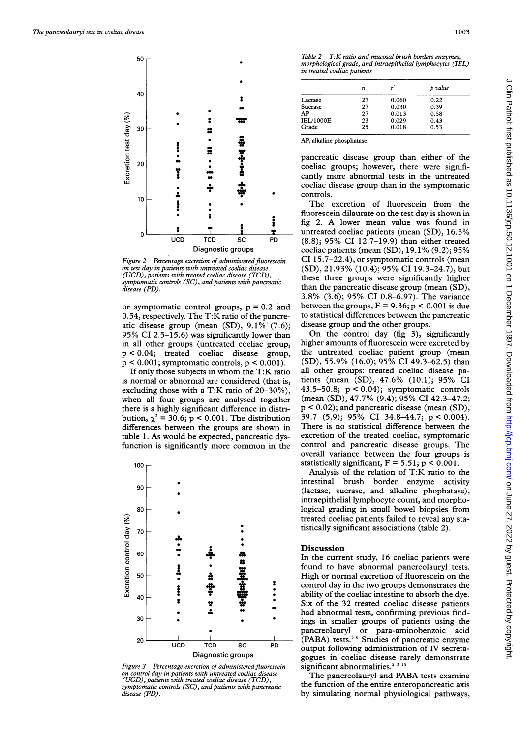

Figure 2 Percentage excretion of administered fluorescein on test day in patients with untreated coeliac disease (UCD), patients with treated coeliac disease (TCD), symptomatic controls (SC), and patients with pancreatic disease (PD).

or symptomatic control groups,  $p = 0.2$  and 0.54, respectively. The T:K ratio of the pancreatic disease group (mean (SD), 9.1%' (7.6); 95% CI 2.5-15.6) was significantly lower than in all other groups (untreated coeliac group, p < 0.04; treated coeliac disease group,  $p < 0.001$ ; symptomatic controls,  $p < 0.001$ ).

If only those subjects in whom the T:K ratio is normal or abnormal are considered (that is, excluding those with <sup>a</sup> T:K ratio of 20-30%), when all four groups are analysed together there is a highly significant difference in distribution,  $\gamma^2$  = 30.6; p < 0.001. The distribution differences between the groups are shown in table 1. As would be expected, pancreatic dysfunction is significantly more common in the



Figure 3 Percentage excretion of administered fluorescein significant abnormalities.<sup>2</sup> (UCD), patients with treated coeliac disease (TCD), control day in patients with untreated coeliac disease symptomatic controls (SC), and patients with pancreatic disease (PD)

Table 2 T:K ratio and mucosal brush borders enzymes, morphological grade, and intraepithelial lymphocytes (IEL) in treated coeliac patients

|                  | n  |       | p value |
|------------------|----|-------|---------|
| Lactase          | 27 | 0.060 | 0.22    |
| Sucrase          | 27 | 0.030 | 0.39    |
| AP               | 27 | 0.013 | 0.58    |
| <b>IEL/1000E</b> | 23 | 0.029 | 0.43    |
| Grade            | 25 | 0.018 | 0.53    |

AP, alkaline phosphatase.

pancreatic disease group than either of the coeliac groups; however, there were significantly more abnormal tests in the untreated coeliac disease group than in the symptomatic controls.

The excretion of fluorescein from the fluorescein dilaurate on the test day is shown in fig 2. A lower mean value was found in untreated coeliac patients (mean (SD), 16.3% (8.8); 95% CI 12.7-19.9) than either treated coeliac patients (mean (SD), 19.1% (9.2); 95% CI 15.7-22.4), or symptomatic controls (mean (SD), 21.93% (10.4); 95% CI 19.3-24.7), but these three groups were significantly higher than the pancreatic disease group (mean (SD), 3.8% (3.6); 95% CI 0.8-6.97). The variance between the groups,  $F = 9.36$ ;  $p < 0.001$  is due to statistical differences between the pancreatic disease group and the other groups.

On the control day (fig 3), significantly higher amounts of fluorescein were excreted by the untreated coeliac patient group (mean (SD), 55.9% (16.0); 95% CI 49.3-62.5) than all other groups: treated coeliac disease patients (mean (SD), 47.6% (10.1); 95% CI 43.5-50.8;  $p < 0.04$ ); symptomatic controls (mean (SD), 47.7% (9.4); 95% CI 42.3-47.2; p < 0.02); and pancreatic disease (mean (SD), 39.7 (5.9); 95% CI 34.8-44.7; p < 0.004). There is no statistical difference between the excretion of the treated coeliac, symptomatic control and pancreatic disease groups. The overall variance between the four groups is statistically significant,  $F = 5.51$ ;  $p < 0.001$ .

Analysis of the relation of T:K ratio to the intestinal brush border enzyme activity (lactase, sucrase, and alkaline phophatase), intraepithelial lymphocyte count, and morphological grading in small bowel biopsies from treated coeliac patients failed to reveal any statistically significant associations (table 2).

In the current study, 16 coeliac patients were <sup>5</sup> found to have abnormal pancreolauryl tests.<br>
<sup>5</sup> fugh or normal excretion of fluorescein on the<br>
<sup>2</sup> control day in the two groups demonstrates the<br>
<sup>2</sup> ability of the coeliac intestine to absorb the dve. High or normal excretion of fluorescein on the control day in the two groups demonstrates the ability of the coeliac intestine to absorb the dye. s" \* \*Six of the <sup>32</sup> treated coeliac disease patients had abnormal tests, confirming previous findings in smaller groups of patients using the pancreolauryl or para-aminobenzoic acid <sup>I</sup> <sup>I</sup> (PABA) tests.5 <sup>6</sup> Studies of pancreatic enzyme UCD TCD SC PD output following administration of IV secreta-Diagnostic groups<br>gogues in coeliac disease rarely demonstrate<br>retion of administered fluorescein significant abnormalities.<sup>2 3 14</sup>

The pancreolauryl and PABA tests examine the function of the entire enteropancreatic axis by simulating normal physiological pathways,